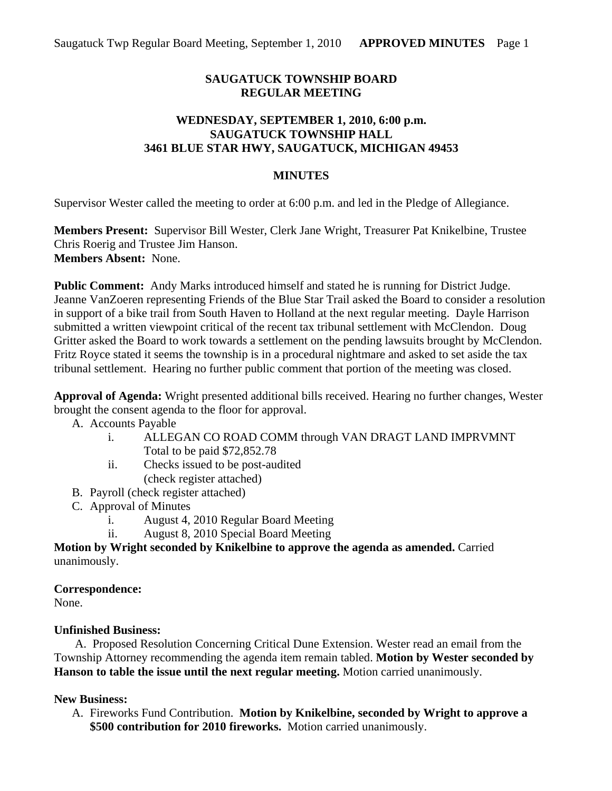# **SAUGATUCK TOWNSHIP BOARD REGULAR MEETING**

#### **WEDNESDAY, SEPTEMBER 1, 2010, 6:00 p.m. SAUGATUCK TOWNSHIP HALL 3461 BLUE STAR HWY, SAUGATUCK, MICHIGAN 49453**

#### **MINUTES**

Supervisor Wester called the meeting to order at 6:00 p.m. and led in the Pledge of Allegiance.

**Members Present:** Supervisor Bill Wester, Clerk Jane Wright, Treasurer Pat Knikelbine, Trustee Chris Roerig and Trustee Jim Hanson. **Members Absent:** None.

**Public Comment:** Andy Marks introduced himself and stated he is running for District Judge. Jeanne VanZoeren representing Friends of the Blue Star Trail asked the Board to consider a resolution in support of a bike trail from South Haven to Holland at the next regular meeting. Dayle Harrison submitted a written viewpoint critical of the recent tax tribunal settlement with McClendon. Doug Gritter asked the Board to work towards a settlement on the pending lawsuits brought by McClendon. Fritz Royce stated it seems the township is in a procedural nightmare and asked to set aside the tax tribunal settlement. Hearing no further public comment that portion of the meeting was closed.

**Approval of Agenda:** Wright presented additional bills received. Hearing no further changes, Wester brought the consent agenda to the floor for approval.

A. Accounts Payable

- i. ALLEGAN CO ROAD COMM through VAN DRAGT LAND IMPRVMNT Total to be paid \$72,852.78
- ii. Checks issued to be post-audited (check register attached)
- B. Payroll (check register attached)
- C. Approval of Minutes
	- i. August 4, 2010 Regular Board Meeting
	- ii. August 8, 2010 Special Board Meeting

**Motion by Wright seconded by Knikelbine to approve the agenda as amended.** Carried unanimously.

## **Correspondence:**

None.

## **Unfinished Business:**

 A. Proposed Resolution Concerning Critical Dune Extension. Wester read an email from the Township Attorney recommending the agenda item remain tabled. **Motion by Wester seconded by Hanson to table the issue until the next regular meeting.** Motion carried unanimously.

## **New Business:**

A. Fireworks Fund Contribution. **Motion by Knikelbine, seconded by Wright to approve a \$500 contribution for 2010 fireworks.** Motion carried unanimously.